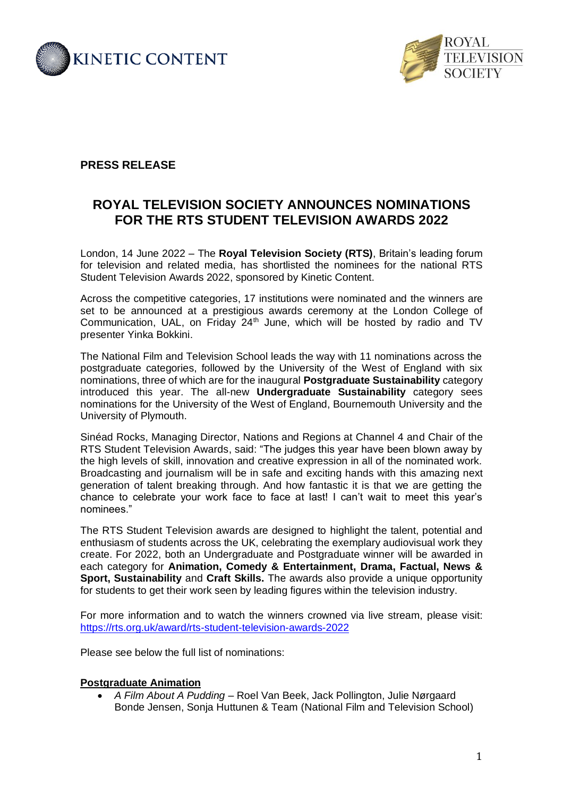



# **PRESS RELEASE**

# **ROYAL TELEVISION SOCIETY ANNOUNCES NOMINATIONS FOR THE RTS STUDENT TELEVISION AWARDS 2022**

London, 14 June 2022 – The **Royal Television Society (RTS)**, Britain's leading forum for television and related media, has shortlisted the nominees for the national RTS Student Television Awards 2022, sponsored by Kinetic Content.

Across the competitive categories, 17 institutions were nominated and the winners are set to be announced at a prestigious awards ceremony at the London College of Communication, UAL, on Friday  $24<sup>th</sup>$  June, which will be hosted by radio and TV presenter Yinka Bokkini.

The National Film and Television School leads the way with 11 nominations across the postgraduate categories, followed by the University of the West of England with six nominations, three of which are for the inaugural **Postgraduate Sustainability** category introduced this year. The all-new **Undergraduate Sustainability** category sees nominations for the University of the West of England, Bournemouth University and the University of Plymouth.

Sinéad Rocks, Managing Director, Nations and Regions at Channel 4 and Chair of the RTS Student Television Awards, said: "The judges this year have been blown away by the high levels of skill, innovation and creative expression in all of the nominated work. Broadcasting and journalism will be in safe and exciting hands with this amazing next generation of talent breaking through. And how fantastic it is that we are getting the chance to celebrate your work face to face at last! I can't wait to meet this year's nominees."

The RTS Student Television awards are designed to highlight the talent, potential and enthusiasm of students across the UK, celebrating the exemplary audiovisual work they create. For 2022, both an Undergraduate and Postgraduate winner will be awarded in each category for **Animation, Comedy & Entertainment, Drama, Factual, News & Sport, Sustainability** and **Craft Skills.** The awards also provide a unique opportunity for students to get their work seen by leading figures within the television industry.

For more information and to watch the winners crowned via live stream, please visit: <https://rts.org.uk/award/rts-student-television-awards-2022>

Please see below the full list of nominations:

#### **Postgraduate Animation**

• *A Film About A Pudding* – Roel Van Beek, Jack Pollington, Julie Nørgaard Bonde Jensen, Sonja Huttunen & Team (National Film and Television School)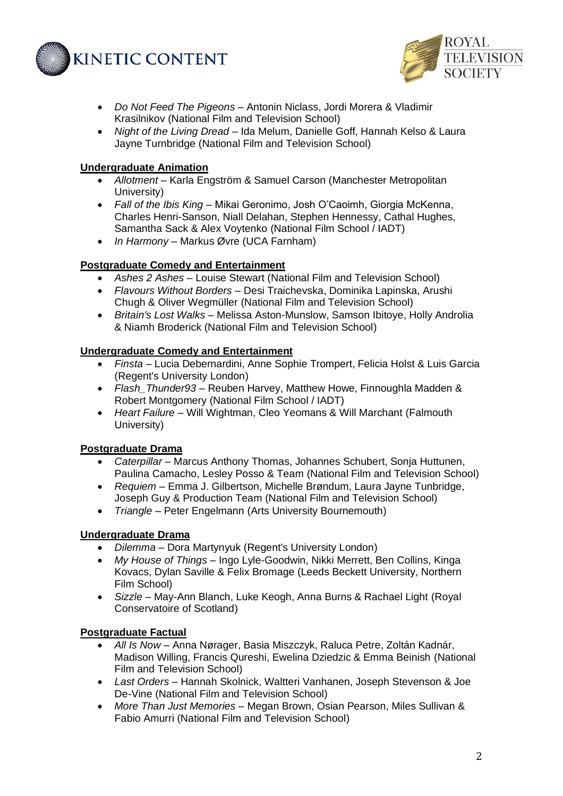



- *Do Not Feed The Pigeons* Antonin Niclass, Jordi Morera & Vladimir Krasilnikov (National Film and Television School)
- *Night of the Living Dread* Ida Melum, Danielle Goff, Hannah Kelso & Laura Jayne Turnbridge (National Film and Television School)

## **Undergraduate Animation**

- *Allotment* Karla Engström & Samuel Carson (Manchester Metropolitan University)
- *Fall of the Ibis King –* Mikai Geronimo, Josh O'Caoimh, Giorgia McKenna, Charles Henri-Sanson, Niall Delahan, Stephen Hennessy, Cathal Hughes, Samantha Sack & Alex Voytenko (National Film School / IADT)
- *In Harmony* Markus Øvre (UCA Farnham)

## **Postgraduate Comedy and Entertainment**

- *Ashes 2 Ashes* Louise Stewart (National Film and Television School)
- *Flavours Without Borders* Desi Traichevska, Dominika Lapinska, Arushi Chugh & Oliver Wegmüller (National Film and Television School)
- *Britain's Lost Walks* Melissa Aston-Munslow, Samson Ibitoye, Holly Androlia & Niamh Broderick (National Film and Television School)

## **Undergraduate Comedy and Entertainment**

- *Finsta* Lucia Debernardini, Anne Sophie Trompert, Felicia Holst & Luis Garcia (Regent's University London)
- *Flash\_Thunder93* Reuben Harvey, Matthew Howe, Finnoughla Madden & Robert Montgomery (National Film School / IADT)
- *Heart Failure* Will Wightman, Cleo Yeomans & Will Marchant (Falmouth University)

#### **Postgraduate Drama**

- *Caterpillar* Marcus Anthony Thomas, Johannes Schubert, Sonja Huttunen, Paulina Camacho, Lesley Posso & Team (National Film and Television School)
- *Requiem* Emma J. Gilbertson, Michelle Brøndum, Laura Jayne Tunbridge, Joseph Guy & Production Team (National Film and Television School)
- *Triangle* Peter Engelmann (Arts University Bournemouth)

# **Undergraduate Drama**

- *Dilemma* Dora Martynyuk (Regent's University London)
- *My House of Things* Ingo Lyle-Goodwin, Nikki Merrett, Ben Collins, Kinga Kovacs, Dylan Saville & Felix Bromage (Leeds Beckett University, Northern Film School)
- *Sizzle* May-Ann Blanch, Luke Keogh, Anna Burns & Rachael Light (Royal Conservatoire of Scotland)

#### **Postgraduate Factual**

- *All Is Now* Anna Nørager, Basia Miszczyk, Raluca Petre, Zoltán Kadnár, Madison Willing, Francis Qureshi, Ewelina Dziedzic & Emma Beinish (National Film and Television School)
- *Last Orders* Hannah Skolnick, Waltteri Vanhanen, Joseph Stevenson & Joe De-Vine (National Film and Television School)
- *More Than Just Memories* Megan Brown, Osian Pearson, Miles Sullivan & Fabio Amurri (National Film and Television School)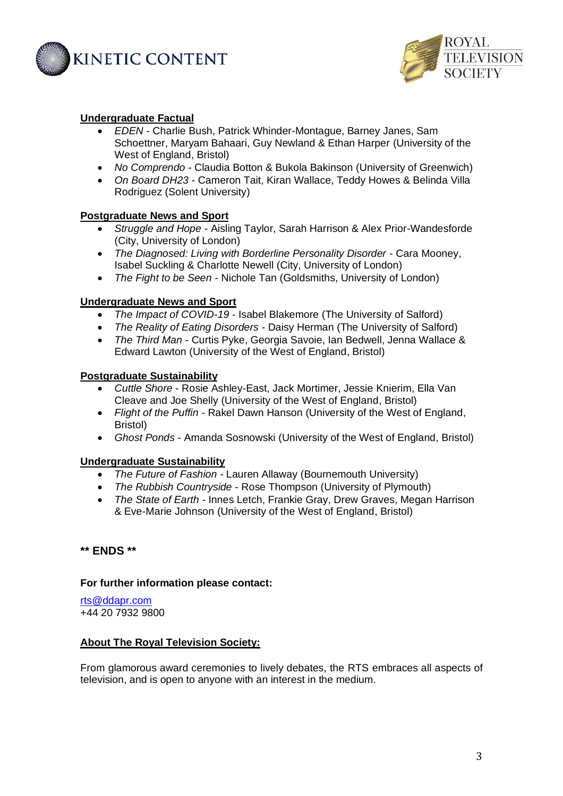



#### **Undergraduate Factual**

- *EDEN*  Charlie Bush, Patrick Whinder-Montague, Barney Janes, Sam Schoettner, Maryam Bahaari, Guy Newland & Ethan Harper (University of the West of England, Bristol)
- *No Comprendo -* Claudia Botton & Bukola Bakinson (University of Greenwich)
- *On Board DH23* Cameron Tait, Kiran Wallace, Teddy Howes & Belinda Villa Rodriguez (Solent University)

## **Postgraduate News and Sport**

- *Struggle and Hope* Aisling Taylor, Sarah Harrison & Alex Prior-Wandesforde (City, University of London)
- *The Diagnosed: Living with Borderline Personality Disorder* Cara Mooney, Isabel Suckling & Charlotte Newell (City, University of London)
- *The Fight to be Seen* Nichole Tan (Goldsmiths, University of London)

#### **Undergraduate News and Sport**

- *The Impact of COVID-19* Isabel Blakemore (The University of Salford)
- *The Reality of Eating Disorders* Daisy Herman (The University of Salford)
- *The Third Man* Curtis Pyke, Georgia Savoie, Ian Bedwell, Jenna Wallace & Edward Lawton (University of the West of England, Bristol)

#### **Postgraduate Sustainability**

- *Cuttle Shore* Rosie Ashley-East, Jack Mortimer, Jessie Knierim, Ella Van Cleave and Joe Shelly (University of the West of England, Bristol)
- *Flight of the Puffin* Rakel Dawn Hanson (University of the West of England, Bristol)
- *Ghost Ponds* Amanda Sosnowski (University of the West of England, Bristol)

#### **Undergraduate Sustainability**

- *The Future of Fashion* Lauren Allaway (Bournemouth University)
- *The Rubbish Countryside* Rose Thompson (University of Plymouth)
- *The State of Earth* Innes Letch, Frankie Gray, Drew Graves, Megan Harrison & Eve-Marie Johnson (University of the West of England, Bristol)

#### **\*\* ENDS \*\***

#### **For further information please contact:**

[rts@ddapr.com](mailto:rts@ddapr.com) +44 20 7932 9800

#### **About The Royal Television Society:**

From glamorous award ceremonies to lively debates, the RTS embraces all aspects of television, and is open to anyone with an interest in the medium.